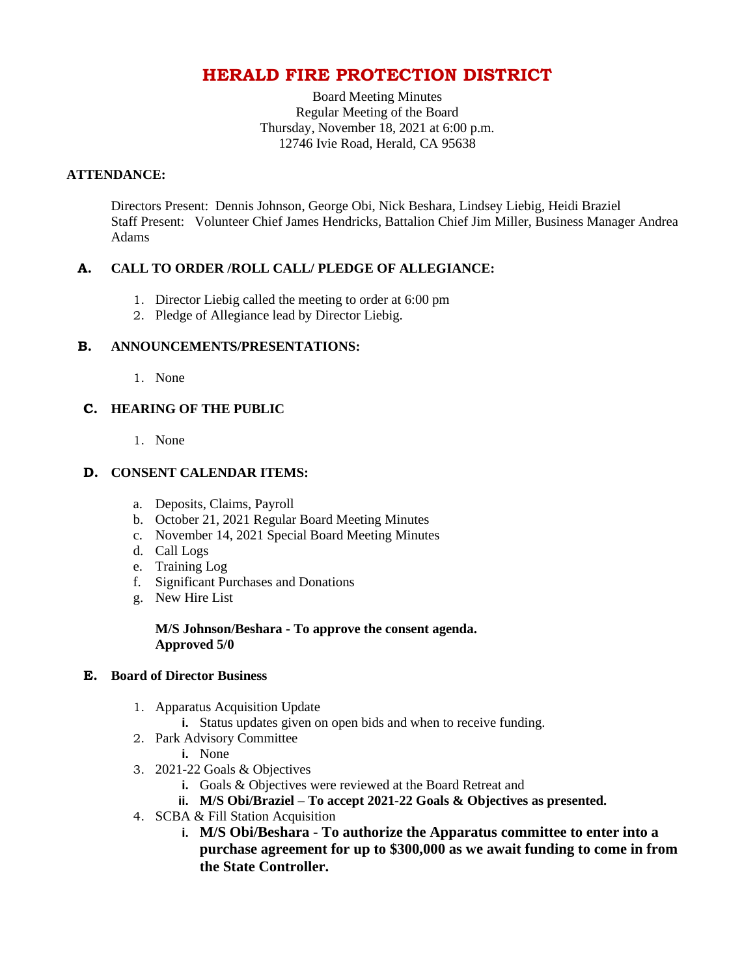# **HERALD FIRE PROTECTION DISTRICT**

Board Meeting Minutes Regular Meeting of the Board Thursday, November 18, 2021 at 6:00 p.m. 12746 Ivie Road, Herald, CA 95638

## **ATTENDANCE:**

Directors Present: Dennis Johnson, George Obi, Nick Beshara, Lindsey Liebig, Heidi Braziel Staff Present: Volunteer Chief James Hendricks, Battalion Chief Jim Miller, Business Manager Andrea Adams

## **A. CALL TO ORDER /ROLL CALL/ PLEDGE OF ALLEGIANCE:**

- 1. Director Liebig called the meeting to order at 6:00 pm
- 2. Pledge of Allegiance lead by Director Liebig.

### **B. ANNOUNCEMENTS/PRESENTATIONS:**

1. None

## **C. HEARING OF THE PUBLIC**

1. None

### **D. CONSENT CALENDAR ITEMS:**

- a. Deposits, Claims, Payroll
- b. October 21, 2021 Regular Board Meeting Minutes
- c. November 14, 2021 Special Board Meeting Minutes
- d. Call Logs
- e. Training Log
- f. Significant Purchases and Donations
- g. New Hire List

#### **M/S Johnson/Beshara - To approve the consent agenda. Approved 5/0**

### **E. Board of Director Business**

- 1. Apparatus Acquisition Update
	- **i.** Status updates given on open bids and when to receive funding.
- 2. Park Advisory Committee
	- **i.** None
- 3. 2021-22 Goals & Objectives
	- **i.** Goals & Objectives were reviewed at the Board Retreat and
	- **ii. M/S Obi/Braziel – To accept 2021-22 Goals & Objectives as presented.**
- 4. SCBA & Fill Station Acquisition
	- **i. M/S Obi/Beshara - To authorize the Apparatus committee to enter into a purchase agreement for up to \$300,000 as we await funding to come in from the State Controller.**